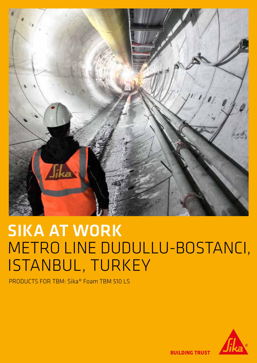

# SIKA AT WORK METRO LINE DUDULLU-BOSTANCI, ISTANBUL, TURKEY

PRODUCTS FOR TBM: Sika® Foam TBM 510 LS



**BUILDING TRUST**